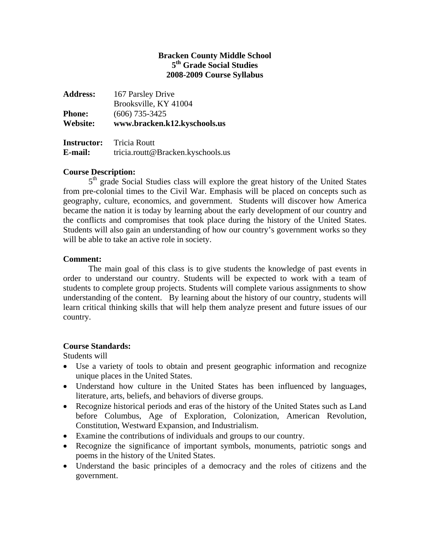# **Bracken County Middle School 5th Grade Social Studies 2008-2009 Course Syllabus**

| <b>Address:</b> | 167 Parsley Drive            |
|-----------------|------------------------------|
|                 | Brooksville, KY 41004        |
| <b>Phone:</b>   | $(606)$ 735-3425             |
| Website:        | www.bracken.k12.kyschools.us |
|                 |                              |

| <b>Instructor:</b> | <b>Tricia Routt</b>               |
|--------------------|-----------------------------------|
| E-mail:            | tricia.routt@Bracken.kyschools.us |

# **Course Description:**

5<sup>th</sup> grade Social Studies class will explore the great history of the United States from pre-colonial times to the Civil War. Emphasis will be placed on concepts such as geography, culture, economics, and government. Students will discover how America became the nation it is today by learning about the early development of our country and the conflicts and compromises that took place during the history of the United States. Students will also gain an understanding of how our country's government works so they will be able to take an active role in society.

### **Comment:**

The main goal of this class is to give students the knowledge of past events in order to understand our country. Students will be expected to work with a team of students to complete group projects. Students will complete various assignments to show understanding of the content. By learning about the history of our country, students will learn critical thinking skills that will help them analyze present and future issues of our country.

# **Course Standards:**

Students will

- Use a variety of tools to obtain and present geographic information and recognize unique places in the United States.
- Understand how culture in the United States has been influenced by languages, literature, arts, beliefs, and behaviors of diverse groups.
- Recognize historical periods and eras of the history of the United States such as Land before Columbus, Age of Exploration, Colonization, American Revolution, Constitution, Westward Expansion, and Industrialism.
- Examine the contributions of individuals and groups to our country.
- Recognize the significance of important symbols, monuments, patriotic songs and poems in the history of the United States.
- Understand the basic principles of a democracy and the roles of citizens and the government.